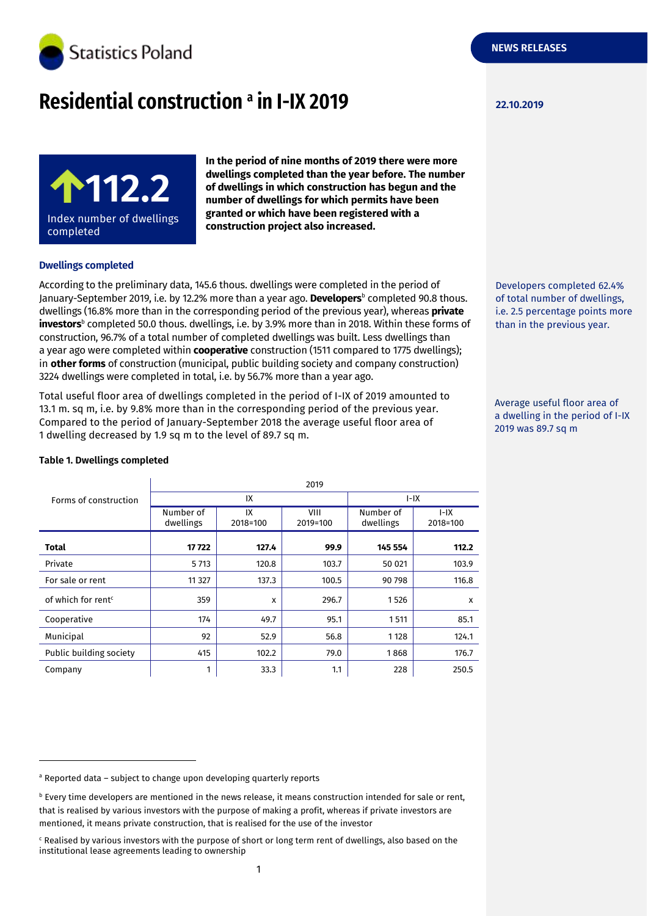

# **Residential construction 22.10.2019 <sup>a</sup> in I-IX 2019**



**In the period of nine months of 2019 there were more dwellings completed than the year before. The number of dwellings in which construction has begun and the number of dwellings for which permits have been granted or which have been registered with a construction project also increased.**

## **Dwellings completed**

According to the preliminary data, 145.6 thous. dwellings were completed in the period of January-September 2019, i.e. by 12.2% more than a year ago. **Developers**<sup>b</sup> completed 90.8 thous. dwellings (16.8% more than in the corresponding period of the previous year), whereas **private investors**b completed 50.0 thous. dwellings, i.e. by 3.9% more than in 2018. Within these forms of construction, 96.7% of a total number of completed dwellings was built. Less dwellings than a year ago were completed within **cooperative** construction (1511 compared to 1775 dwellings); in **other forms** of construction (municipal, public building society and company construction) 3224 dwellings were completed in total, i.e. by 56.7% more than a year ago.

Total useful floor area of dwellings completed in the period of I-IX of 2019 amounted to 13.1 m. sq m, i.e. by 9.8% more than in the corresponding period of the previous year. Compared to the period of January-September 2018 the average useful floor area of 1 dwelling decreased by 1.9 sq m to the level of 89.7 sq m.

| Forms of construction          | 2019                   |                |                  |                        |                      |  |
|--------------------------------|------------------------|----------------|------------------|------------------------|----------------------|--|
|                                | IX                     |                |                  | $I-IX$                 |                      |  |
|                                | Number of<br>dwellings | IX<br>2018=100 | VIII<br>2019=100 | Number of<br>dwellings | $I - IX$<br>2018=100 |  |
| <b>Total</b>                   | 17722                  | 127.4          | 99.9             | 145 554                | 112.2                |  |
| Private                        | 5 7 1 3                | 120.8          | 103.7            | 50 021                 | 103.9                |  |
| For sale or rent               | 11 3 27                | 137.3          | 100.5            | 90 798                 | 116.8                |  |
| of which for rent <sup>c</sup> | 359                    | X              | 296.7            | 1526                   | X                    |  |
| Cooperative                    | 174                    | 49.7           | 95.1             | 1511                   | 85.1                 |  |
| Municipal                      | 92                     | 52.9           | 56.8             | 1 1 2 8                | 124.1                |  |
| Public building society        | 415                    | 102.2          | 79.0             | 1868                   | 176.7                |  |
| Company                        | 1                      | 33.3           | 1.1              | 228                    | 250.5                |  |

2019

#### **Table 1. Dwellings completed**

-

a Reported data - subject to change upon developing quarterly reports

Developers completed 62.4% of total number of dwellings, i.e. 2.5 percentage points more than in the previous year.

Average useful floor area of a dwelling in the period of I-IX 2019 was 89.7 sq m

 $b$  Every time developers are mentioned in the news release, it means construction intended for sale or rent, that is realised by various investors with the purpose of making a profit, whereas if private investors are mentioned, it means private construction, that is realised for the use of the investor

<sup>c</sup> Realised by various investors with the purpose of short or long term rent of dwellings, also based on the institutional lease agreements leading to ownership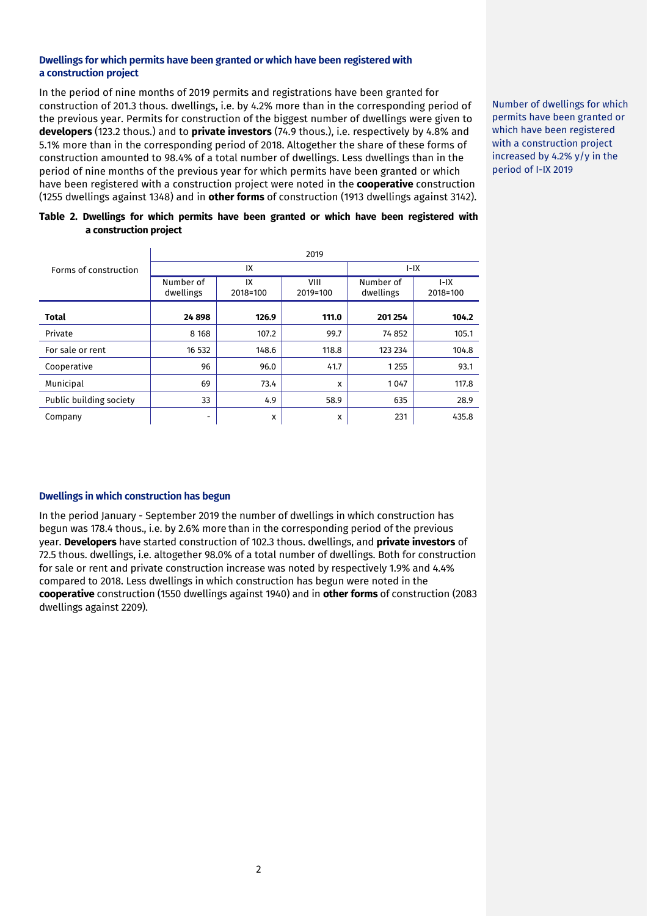#### **Dwellings for which permits have been granted or which have been registered with a construction project**

In the period of nine months of 2019 permits and registrations have been granted for construction of 201.3 thous. dwellings, i.e. by 4.2% more than in the corresponding period of the previous year. Permits for construction of the biggest number of dwellings were given to **developers** (123.2 thous.) and to **private investors** (74.9 thous.), i.e. respectively by 4.8% and 5.1% more than in the corresponding period of 2018. Altogether the share of these forms of construction amounted to 98.4% of a total number of dwellings. Less dwellings than in the period of nine months of the previous year for which permits have been granted or which have been registered with a construction project were noted in the **cooperative** construction (1255 dwellings against 1348) and in **other forms** of construction (1913 dwellings against 3142).

Number of dwellings for which permits have been granted or which have been registered with a construction project increased by 4.2% y/y in the period of I-IX 2019

## **Table 2. Dwellings for which permits have been granted or which have been registered with a construction project**

|                         | 2019                   |                |                  |                        |                    |  |
|-------------------------|------------------------|----------------|------------------|------------------------|--------------------|--|
| Forms of construction   | IX                     |                |                  | $I-IX$                 |                    |  |
|                         | Number of<br>dwellings | IX<br>2018=100 | VIII<br>2019=100 | Number of<br>dwellings | $I-IX$<br>2018=100 |  |
| <b>Total</b>            | 24898                  | 126.9          | 111.0            | 201 254                | 104.2              |  |
| Private                 | 8 1 6 8                | 107.2          | 99.7             | 74 852                 | 105.1              |  |
| For sale or rent        | 16 532                 | 148.6          | 118.8            | 123 234                | 104.8              |  |
| Cooperative             | 96                     | 96.0           | 41.7             | 1255                   | 93.1               |  |
| Municipal               | 69                     | 73.4           | x                | 1047                   | 117.8              |  |
| Public building society | 33                     | 4.9            | 58.9             | 635                    | 28.9               |  |
| Company                 | -                      | x              | x                | 231                    | 435.8              |  |

# **Dwellings in which construction has begun**

In the period January - September 2019 the number of dwellings in which construction has begun was 178.4 thous., i.e. by 2.6% more than in the corresponding period of the previous year. **Developers** have started construction of 102.3 thous. dwellings, and **private investors** of 72.5 thous. dwellings, i.e. altogether 98.0% of a total number of dwellings. Both for construction for sale or rent and private construction increase was noted by respectively 1.9% and 4.4% compared to 2018. Less dwellings in which construction has begun were noted in the **cooperative** construction (1550 dwellings against 1940) and in **other forms** of construction (2083 dwellings against 2209).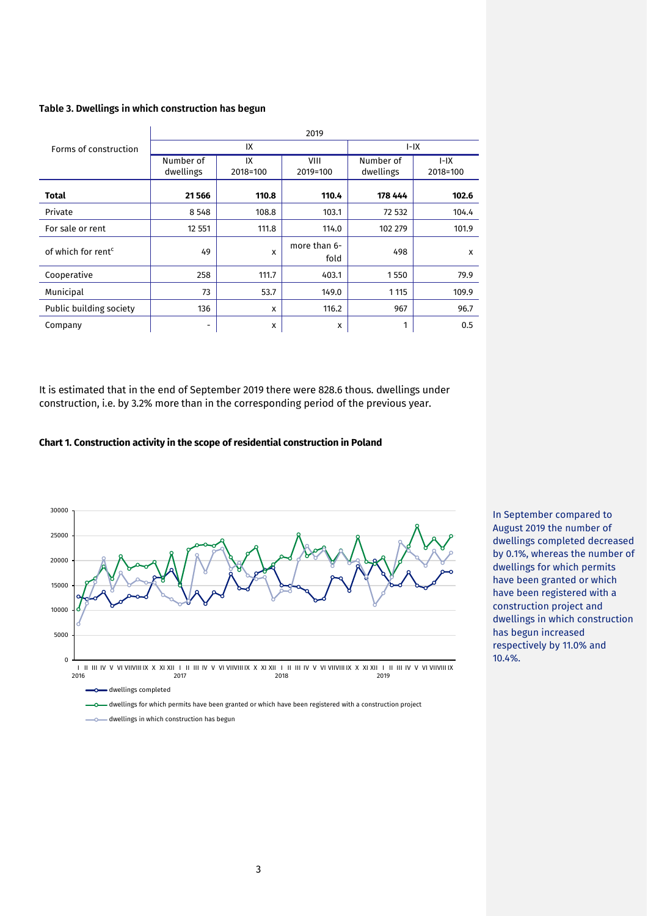#### **Table 3. Dwellings in which construction has begun**

|                                | 2019                   |                |                      |                        |                      |  |
|--------------------------------|------------------------|----------------|----------------------|------------------------|----------------------|--|
| Forms of construction          | IX                     |                |                      | $I-IX$                 |                      |  |
|                                | Number of<br>dwellings | IX<br>2018=100 | VIII<br>2019=100     | Number of<br>dwellings | $I - IX$<br>2018=100 |  |
| <b>Total</b>                   | 21566                  | 110.8          | 110.4                | 178 444                | 102.6                |  |
| Private                        | 8 5 4 8                | 108.8          | 103.1                | 72 532                 | 104.4                |  |
| For sale or rent               | 12 5 51                | 111.8          | 114.0                | 102 279                | 101.9                |  |
| of which for rent <sup>c</sup> | 49                     | x              | more than 6-<br>fold | 498                    | X                    |  |
| Cooperative                    | 258                    | 111.7          | 403.1                | 1550                   | 79.9                 |  |
| Municipal                      | 73                     | 53.7           | 149.0                | 1 1 1 5                | 109.9                |  |
| Public building society        | 136                    | X              | 116.2                | 967                    | 96.7                 |  |
| Company                        | -                      | x              | x                    | 1                      | 0.5                  |  |

It is estimated that in the end of September 2019 there were 828.6 thous. dwellings under construction, i.e. by 3.2% more than in the corresponding period of the previous year.

#### **Chart 1. Construction activity in the scope of residential construction in Poland**



In September compared to August 2019 the number of dwellings completed decreased by 0.1%, whereas the number of dwellings for which permits have been granted or which have been registered with a construction project and dwellings in which construction has begun increased respectively by 11.0% and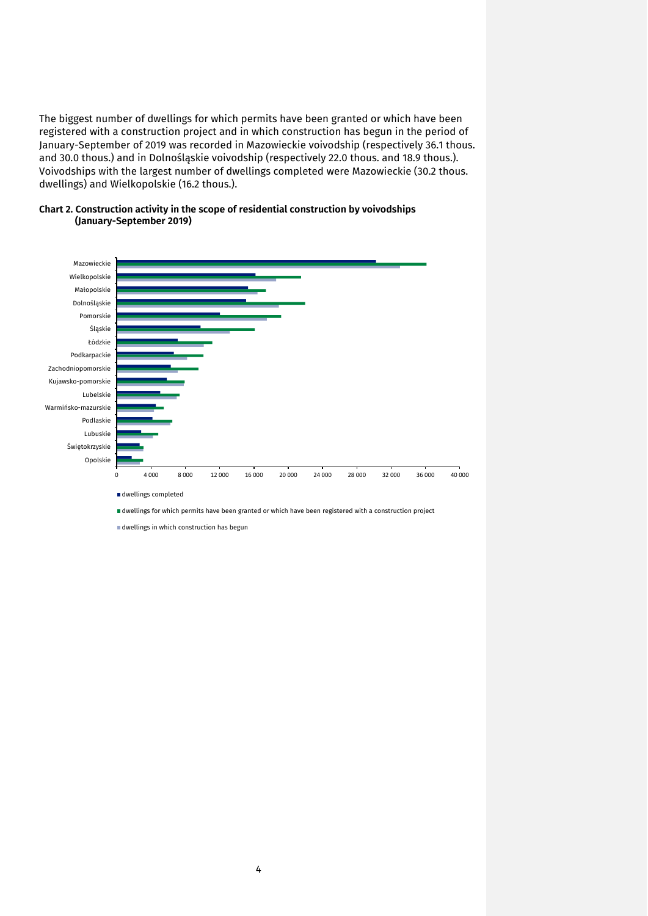The biggest number of dwellings for which permits have been granted or which have been registered with a construction project and in which construction has begun in the period of January-September of 2019 was recorded in Mazowieckie voivodship (respectively 36.1 thous. and 30.0 thous.) and in Dolnośląskie voivodship (respectively 22.0 thous. and 18.9 thous.). Voivodships with the largest number of dwellings completed were Mazowieckie (30.2 thous. dwellings) and Wielkopolskie (16.2 thous.).





dwellings in which construction has begun